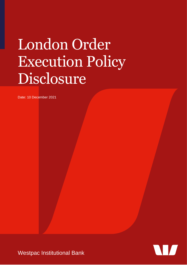# London Order Execution Policy Disclosure

Date: 10 December 2021

Westpac Institutional Bank

 $\blacksquare$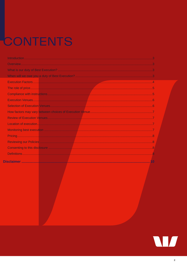## CONTENTS

 $\mathbb{C}$ 

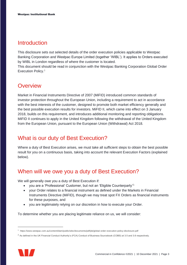#### <span id="page-2-0"></span>Introduction

This disclosure sets out selected details of the order execution policies applicable to Westpac Banking Corporation and Westpac Europe Limited (together 'WIBL'). It applies to Orders executed by WIBL in London regardless of where the customer is located.

This document should be read in conjunction with the Westpac Banking Corporation Global Order Execution Policy.<sup>1</sup>

#### <span id="page-2-1"></span>**Overview**

Market in Financial Instruments Directive of 2007 (MiFID) introduced common standards of investor protection throughout the European Union, including a requirement to act in accordance with the best interests of the customer, designed to promote both market efficiency generally and the best possible execution results for investors. MiFID II, which came into effect on 3 January 2018, builds on this requirement, and introduces additional monitoring and reporting obligations. MiFID II continues to apply in the United Kingdom following the withdrawal of the United Kingdom from the European Union, pursuant to the European Union (Withdrawal) Act 2018.

#### <span id="page-2-2"></span>What is our duty of Best Execution?

Where a duty of Best Execution arises, we must take all sufficient steps to obtain the best possible result for you on a continuous basis, taking into account the relevant Execution Factors (explained below).

#### <span id="page-2-3"></span>When will we owe you a duty of Best Execution?

We will generally owe you a duty of Best Execution if:

- you are a 'Professional' Customer, but not an 'Eligible Counterparty'<sup>2;</sup>
- your Order relates to a financial instrument as defined under the Markets in Financial Instruments Directive (MiFID), though we may treat spot FX Orders as financial instruments for these purposes, and
- you are legitimately relying on our discretion in how to execute your Order.

To determine whether you are placing legitimate reliance on us, we will consider:

 $2$  As defined in the UK Financial Conduct Authority's (FCA) Conduct of Business Sourcebook (COBS) at 3.5 and 3.6 respectively.



<sup>1</sup> https://www.westpac.com.au/content/dam/public/wbc/documents/pdf/pb/global-order-execution-policy-disclosure.pdf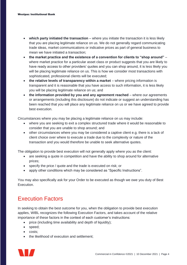- **which party initiated the transaction** where you initiate the transaction it is less likely that you are placing legitimate reliance on us. We do not generally regard communicating trade ideas, market communications or indicative prices as part of general business to mean we have initiated a transaction;
- **the market practice and the existence of a convention for clients to "shop around"**  where market practice for a particular asset class or product suggests that you are likely to have ready access to other providers' quotes and you can shop around, it is less likely you will be placing legitimate reliance on us. This is how we consider most transactions with sophisticated, professional clients will be executed;
- **the relative levels of transparency within a market** where pricing information is transparent and it is reasonable that you have access to such information, it is less likely you will be placing legitimate reliance on us; and
- **the information provided by you and any agreement reached** where our agreements or arrangements (including this disclosure) do not indicate or suggest an understanding has been reached that you will place any legitimate reliance on us or we have agreed to provide best execution.

Circumstances where you may be placing a legitimate reliance on us may include:

- where you are seeking to exit a complex structured trade where it would be reasonable to consider that you are unable to shop around; and
- other circumstances where you may be considered a captive client e.g. there is a lack of client choice over where to execute a trade due to the complexity or nature of the transaction and you would therefore be unable to seek alternative quotes.

The obligation to provide best execution will not generally apply where you as the client:

- are seeking a quote in competition and have the ability to shop around for alternative prices;
- specify the price / quote and the trade is executed on risk; or
- apply other conditions which may be considered as "Specific Instructions".

You may also specifically ask for your Order to be executed as though we owe you duty of Best Execution.

#### <span id="page-3-0"></span>Execution Factors

In seeking to obtain the best outcome for you, when the obligation to provide best execution applies, WIBL recognizes the following Execution Factors, and takes account of the relative importance of these factors in the context of each customer's instructions:

- price (including time availability and depth of liquidity);
- speed;
- costs;
- the likelihood of execution and settlement;

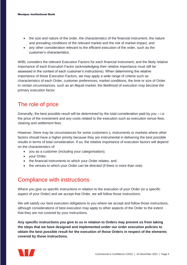- the size and nature of the order, the characteristics of the financial instrument, the nature and prevailing conditions of the relevant market and the risk of market impact; and
- any other consideration relevant to the efficient execution of the order, such as the customer's characteristics.

WIBL considers the relevant Execution Factors for each financial instrument, and the likely relative importance of each Execution Factor (acknowledging their relative importance must still be assessed in the context of each customer's instructions). When determining the relative importance of these Execution Factors, we may apply a wide range of criteria such as characteristics of each Order, customer preferences, market conditions, the time or size of Order. In certain circumstances, such as an illiquid market, the likelihood of execution may become the primary execution factor.

#### <span id="page-4-0"></span>The role of price

Generally, the best possible result will be determined by the total consideration paid by you – i.e. the price of the investment and any costs related to the execution such as execution venue fees, clearing and settlement fees.

However, there may be circumstances for some customers s, instruments or markets where other factors should have a higher priority because they are instrumental in delivering the best possible results in terms of total consideration. If so, the relative importance of execution factors will depend on the characteristics of:

- you as a customer (including your categorisation);
- your Order;
- the financial instruments to which your Order relates; and
- the venues to which your Order can be directed (if there is more than one).

#### <span id="page-4-1"></span>Compliance with instructions

Where you give us specific instructions in relation to the execution of your Order (or a specific aspect of your Order) and we accept that Order, we will follow those instructions.

We will satisfy our best execution obligations to you where we accept and follow those instructions, although considerations of best execution may apply to other aspects of the Order to the extent that they are not covered by your instructions.

**Any specific instructions you give to us in relation to Orders may prevent us from taking the steps that we have designed and implemented under our order execution policies to obtain the best possible result for the execution of those Orders in respect of the elements covered by those instructions.**

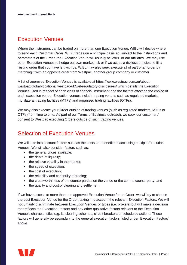#### <span id="page-5-0"></span>Execution Venues

Where the instrument can be traded on more than one Execution Venue, WIBL will decide where to send each Customer Order. WIBL trades on a principal basis so, subject to the instructions and parameters of the Order, the Execution Venue will usually be WIBL or our affiliates. We may use other Execution Venues to hedge our own market risk or if we act as a riskless principal to fill a resting order that you have left with us. WIBL may also seek execute all of part of an order by matching it with an opposite order from Westpac, another group company or customer.

A list of approved Execution Venues is available at [https://www.westpac.com.au/about](https://www.westpac.com.au/about-westpac/global-locations/westpac-uk/wel-regulatory-disclosures/)[westpac/global-locations/](https://www.westpac.com.au/about-westpac/global-locations/westpac-uk/wel-regulatory-disclosures/) [westpac-uk/wel-regulatory-disclosures/ w](https://www.westpac.com.au/about-westpac/global-locations/westpac-uk/wel-regulatory-disclosures/)hich details the Execution Venues used in respect of each class of financial instrument and the factors affecting the choice of each execution venue. Execution venues include trading venues such as regulated markets, multilateral trading facilities (MTFs) and organised trading facilities (OTFs).

We may also execute your Order outside of trading venues (such as regulated markets, MTFs or OTFs) from time to time. As part of our Terms of Business outreach, we seek our customers' consent to Westpac executing Orders outside of such trading venues.

#### <span id="page-5-1"></span>Selection of Execution Venues

We will take into account factors such as the costs and benefits of accessing multiple Execution Venues. We will also consider factors such as:

- the general prices available;
- the depth of liquidity;
- the relative volatility in the market;
- the speed of execution;
- the cost of execution:
- the reliability and continuity of trading;
- the creditworthiness of the counterparties on the venue or the central counterparty; and
- the quality and cost of clearing and settlement.

If we have access to more than one approved Execution Venue for an Order, we will try to choose the best Execution Venue for the Order, taking into account the relevant Execution Factors. We will not unfairly discriminate between Execution Venues or types (i.e. brokers) but will make a decision that reflects the Execution Factors and any other qualitative factors relevant to the Execution Venue's characteristics e.g. its clearing schemes, circuit breakers or scheduled actions. These factors will generally be secondary to the general execution factors listed under 'Execution Factors' above.

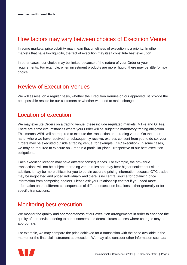#### <span id="page-6-0"></span>How factors may vary between choices of Execution Venue

In some markets, price volatility may mean that timeliness of execution is a priority. In other markets that have low liquidity, the fact of execution may itself constitute best execution.

In other cases, our choice may be limited because of the nature of your Order or your requirements. For example, when investment products are more illiquid, there may be little (or no) choice.

#### <span id="page-6-1"></span>Review of Execution Venues

We will assess, on a regular basis, whether the Execution Venues on our approved list provide the best possible results for our customers or whether we need to make changes.

#### <span id="page-6-2"></span>Location of execution

We may execute Orders on a trading venue (these include regulated markets, MTFs and OTFs). There are some circumstances where your Order will be subject to mandatory trading obligation. This means WIBL will be required to execute the transaction on a trading venue. On the other hand, where we have received, or subsequently receive, express consent from you to do so, your Orders may be executed outside a trading venue (for example, OTC execution). In some cases, we may be required to execute an Order in a particular place, irrespective of our best execution obligations.

Each execution location may have different consequences. For example, the off-venue transactions will not be subject to trading venue rules and may bear higher settlement risk. In addition, it may be more difficult for you to obtain accurate pricing information because OTC trades may be negotiated and priced individually and there is no central source for obtaining price information from competing dealers. Please ask your relationship contact if you need more information on the different consequences of different execution locations, either generally or for specific transactions.

#### <span id="page-6-3"></span>Monitoring best execution

We monitor the quality and appropriateness of our execution arrangements in order to enhance the quality of our service offering to our customers and detect circumstances where changes may be appropriate.

For example, we may compare the price achieved for a transaction with the price available in the market for the financial instrument at execution. We may also consider other information such as:

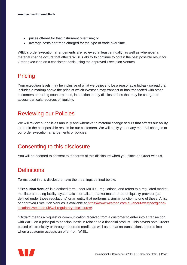- prices offered for that instrument over time; or
- average costs per trade charged for the type of trade over time.

WIBL's order execution arrangements are reviewed at least annually, as well as whenever a material change occurs that affects WIBL's ability to continue to obtain the best possible result for Order execution on a consistent basis using the approved Execution Venues.

#### <span id="page-7-0"></span>**Pricing**

Your execution levels may be inclusive of what we believe to be a reasonable bid-ask spread that includes a markup above the price at which Westpac may transact or has transacted with other customers or trading counterparties, in addition to any disclosed fees that may be charged to access particular sources of liquidity.

#### <span id="page-7-1"></span>Reviewing our Policies

We will review our policies annually and whenever a material change occurs that affects our ability to obtain the best possible results for our customers. We will notify you of any material changes to our order execution arrangements or policies.

#### <span id="page-7-2"></span>Consenting to this disclosure

You will be deemed to consent to the terms of this disclosure when you place an Order with us.

#### <span id="page-7-3"></span>**Definitions**

Terms used in this disclosure have the meanings defined below:

**"Execution Venue"** is a defined term under MIFID II regulations, and refers to a regulated market, multilateral trading facility, systematic internaliser, market maker or other liquidity provider (as defined under those regulations) or an entity that performs a similar function to one of these. A list of approved Execution Venues is available at [https://www.westpac.com.au/about-westpac/global](https://www.westpac.com.au/about-westpac/global-locations/westpac-uk/wel-regulatory-disclosures/)[locations/westpac-uk/wel-regulatory-disclosures/.](https://www.westpac.com.au/about-westpac/global-locations/westpac-uk/wel-regulatory-disclosures/)

**"Order"** means a request or communication received from a customer to enter into a transaction with WIBL on a principal to principal basis in relation to a financial product. This covers both Orders placed electronically or through recorded media, as well as to market transactions entered into when a customer accepts an offer from WIBL.

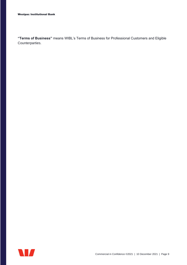**"Terms of Business"** means WIBL's Terms of Business for Professional Customers and Eligible Counterparties.

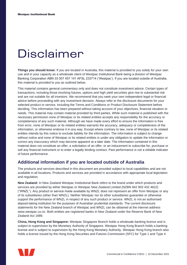### <span id="page-9-0"></span>Disclaimer

**Things you should know:** If you are located in Australia, this material is provided to you solely for your own use and in your capacity as a wholesale client of Westpac Institutional Bank being a division of Westpac Banking Corporation ABN 33 007 457 141 AFSL 233714 ('Westpac'). If you are located outside of Australia, this material is provided to you as outlined below.

This material contains general commentary only and does not constitute investment advice. Certain types of transactions, including those involving futures, options and high yield securities give rise to substantial risk and are not suitable for all investors. We recommend that you seek your own independent legal or financial advice before proceeding with any investment decision. Always refer to the disclosure documents for your selected product or service, including the Terms and Conditions or Product Disclosure Statement before deciding. This information has been prepared without taking account of your objectives, financial situation or needs. This material may contain material provided by third parties. While such material is published with the necessary permission none of Westpac or its related entities accepts any responsibility for the accuracy or completeness of any such material. Although we have made every effort to ensure the information is free from error, none of Westpac or its related entities warrants the accuracy, adequacy or completeness of the information, or otherwise endorse it in any way. Except where contrary to law, none of Westpac or its related entities intends by this notice to exclude liability for the information. The information is subject to change without notice and none of Westpac or its related entities is under any obligation to update the information or correct any inaccuracy which may become apparent at a later date. The information contained in this material does not constitute an offer, a solicitation of an offer, or an inducement to subscribe for, purchase or sell any financial instrument or to enter a legally binding contract. Past performance is not a reliable indicator of future performance.

#### **Additional information if you are located outside of Australia**

The products and services described in this document are provided subject to local capabilities and are not available in all locations. Products and services are provided in accordance with appropriate local legislation and regulation.

**New Zealand:** In New Zealand Westpac Institutional Bank refers to the brand under which products and services are provided by either Westpac or Westpac New Zealand Limited (NZBN 942 903 432 4622) ("WNZL"). Any product or service made available by WNZL does not represent an offer from Westpac or any of its subsidiaries (other than WNZL). Neither Westpac nor its other subsidiaries guarantee or otherwise support the performance of WNZL in respect of any such product or service. WNZL is not an authorised deposit-taking institution for the purposes of Australian prudential standards. The current disclosure statements for the New Zealand branch of Westpac and WNZL can be obtained at the internet address www.westpac.co.nz. Both entities are registered banks in New Zealand under the Reserve Bank of New Zealand Act 1989.

**China, Hong Kong and Singapore:** Westpac Singapore Branch holds a wholesale banking licence and is subject to supervision by the Monetary Authority of Singapore. Westpac Hong Kong Branch holds a banking license and is subject to supervision by the Hong Kong Monetary Authority. Westpac Hong Kong branch also holds a license issued by the Hong Kong Securities and Futures Commission (SFC) for Type 1 and Type 4

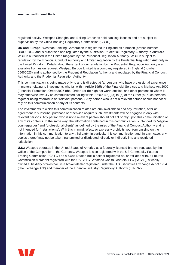regulated activity. Westpac Shanghai and Beijing Branches hold banking licenses and are subject to supervision by the China Banking Regulatory Commission (CBRC).

**UK and Europe:** Westpac Banking Corporation is registered in England as a branch (branch number BR000106), and is authorised and regulated by the Australian Prudential Regulatory Authority in Australia. WBC is authorised in the United Kingdom by the Prudential Regulation Authority. WBC is subject to regulation by the Financial Conduct Authority and limited regulation by the Prudential Regulation Authority in the United Kingdom. Details about the extent of our regulation by the Prudential Regulation Authority are available from us on request. Westpac Europe Limited is a company registered in England (number 05660023) and is authorised by the Prudential Regulation Authority and regulated by the Financial Conduct Authority and the Prudential Regulation Authority.

This communication is being made only to and is directed at (a) persons who have professional experience in matters relating to investments who fall within Article 19(5) of the Financial Services and Markets Act 2000 (Financial Promotion) Order 2005 (the "Order") or (b) high net worth entities, and other persons to whom it may otherwise lawfully be communicated, falling within Article 49(2)(a) to (d) of the Order (all such persons together being referred to as "relevant persons"). Any person who is not a relevant person should not act or rely on this communication or any of its contents.

The investments to which this communication relates are only available to and any invitation, offer or agreement to subscribe, purchase or otherwise acquire such investments will be engaged in only with, relevant persons. Any person who is not a relevant person should not act or rely upon this communication or any of its contents. In the same way, the information contained in this communication is intended for "eligible counterparties" and "professional clients" as defined by the rules of the Financial Conduct Authority and is not intended for "retail clients". With this in mind, Westpac expressly prohibits you from passing on the information in this communication to any third party. In particular this communication and, in each case, any copies thereof may not be taken, transmitted or distributed, directly or indirectly into any restricted jurisdiction.

**U.S.:** Westpac operates in the United States of America as a federally licensed branch, regulated by the Office of the Comptroller of the Currency. Westpac is also registered with the US Commodity Futures Trading Commission ("CFTC") as a Swap Dealer, but is neither registered as, or affiliated with, a Futures Commission Merchant registered with the US CFTC. Westpac Capital Markets, LLC ('WCM'), a whollyowned subsidiary of Westpac, is a broker-dealer registered under the U.S. Securities Exchange Act of 1934 ('the Exchange Act') and member of the Financial Industry Regulatory Authority ('FINRA').